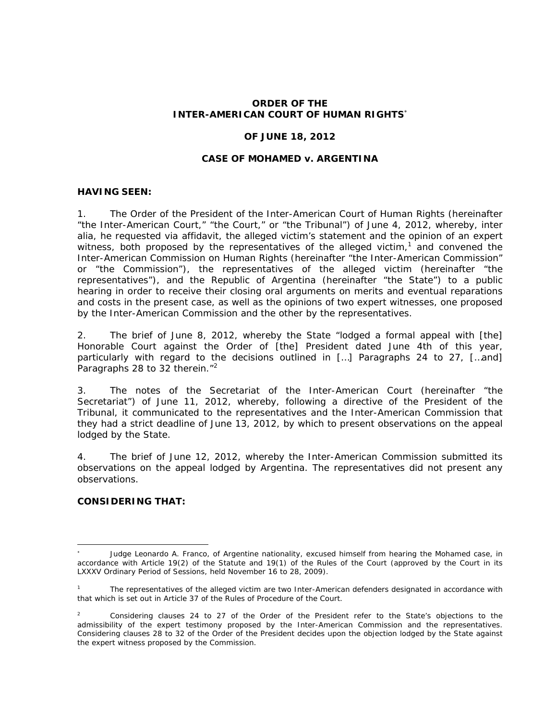## **ORDER OF THE INTER-AMERICAN COURT OF HUMAN RIGHTS**

#### **OF JUNE 18, 2012**

#### **CASE OF MOHAMED** *v***. ARGENTINA**

#### **HAVING SEEN:**

1. The Order of the President of the Inter-American Court of Human Rights (hereinafter "the Inter-American Court," "the Court," or "the Tribunal") of June 4, 2012, whereby, *inter alia*, he requested via affidavit, the alleged victim's statement and the opinion of an expert witness, both proposed by the representatives of the alleged victim,<sup>1</sup> and convened the Inter-American Commission on Human Rights (hereinafter "the Inter-American Commission" or "the Commission"), the representatives of the alleged victim (hereinafter "the representatives"), and the Republic of Argentina (hereinafter "the State") to a public hearing in order to receive their closing oral arguments on merits and eventual reparations and costs in the present case, as well as the opinions of two expert witnesses, one proposed by the Inter-American Commission and the other by the representatives.

2. The brief of June 8, 2012, whereby the State "lodged a formal appeal with [the] Honorable Court against the Order of [the] President dated June 4th of this year, particularly with regard to the decisions outlined in […] Paragraphs 24 to 27, […and] Paragraphs 28 to 32 therein."<sup>2</sup>

3. The notes of the Secretariat of the Inter-American Court (hereinafter "the Secretariat") of June 11, 2012, whereby, following a directive of the President of the Tribunal, it communicated to the representatives and the Inter-American Commission that they had a strict deadline of June 13, 2012, by which to present observations on the appeal lodged by the State.

4. The brief of June 12, 2012, whereby the Inter-American Commission submitted its observations on the appeal lodged by Argentina. The representatives did not present any observations.

## **CONSIDERING THAT:**

1

<sup>\*</sup>  Judge Leonardo A. Franco, of Argentine nationality, excused himself from hearing the *Mohamed case*, in accordance with Article 19(2) of the Statute and 19(1) of the Rules of the Court (approved by the Court in its LXXXV Ordinary Period of Sessions, held November 16 to 28, 2009).

<sup>1</sup> The representatives of the alleged victim are two Inter-American defenders designated in accordance with that which is set out in Article 37 of the Rules of Procedure of the Court.

<sup>2</sup> Considering clauses 24 to 27 of the Order of the President refer to the State's objections to the admissibility of the expert testimony proposed by the Inter-American Commission and the representatives. Considering clauses 28 to 32 of the Order of the President decides upon the objection lodged by the State against the expert witness proposed by the Commission.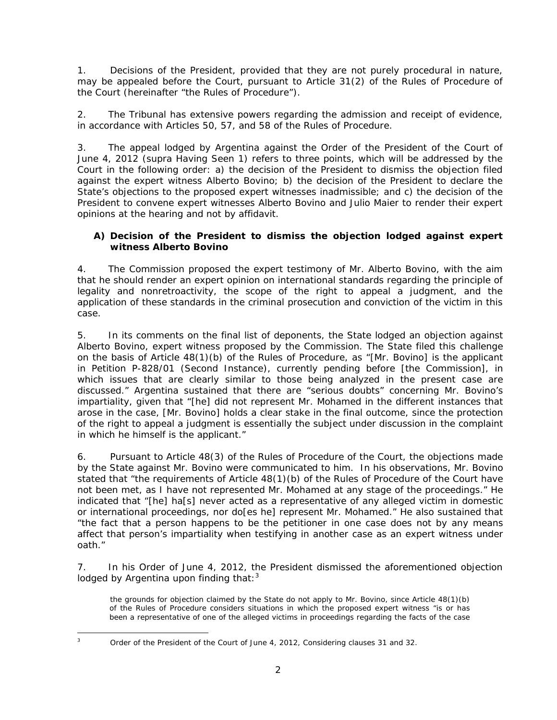1. Decisions of the President, provided that they are not purely procedural in nature, may be appealed before the Court, pursuant to Article 31(2) of the Rules of Procedure of the Court (hereinafter "the Rules of Procedure").

2. The Tribunal has extensive powers regarding the admission and receipt of evidence, in accordance with Articles 50, 57, and 58 of the Rules of Procedure.

3. The appeal lodged by Argentina against the Order of the President of the Court of June 4, 2012 (*supra* Having Seen 1) refers to three points, which will be addressed by the Court in the following order: a) the decision of the President to dismiss the objection filed against the expert witness Alberto Bovino; b) the decision of the President to declare the State's objections to the proposed expert witnesses inadmissible; and c) the decision of the President to convene expert witnesses Alberto Bovino and Julio Maier to render their expert opinions at the hearing and not by affidavit.

# **A) Decision of the President to dismiss the objection lodged against expert witness Alberto Bovino**

4. The Commission proposed the expert testimony of Mr. Alberto Bovino, with the aim that he should render an expert opinion on international standards regarding the principle of legality and nonretroactivity, the scope of the right to appeal a judgment, and the application of these standards in the criminal prosecution and conviction of the victim in this case.

5. In its comments on the final list of deponents, the State lodged an objection against Alberto Bovino, expert witness proposed by the Commission. The State filed this challenge on the basis of Article 48(1)(b) of the Rules of Procedure, as "[Mr. Bovino] is the applicant in Petition P-828/01 (Second Instance), currently pending before [the Commission], in which issues that are clearly similar to those being analyzed in the present case are discussed." Argentina sustained that there are "serious doubts" concerning Mr. Bovino's impartiality, given that "[he] did not represent Mr. Mohamed in the different instances that arose in the case, [Mr. Bovino] holds a clear stake in the final outcome, since the protection of the right to appeal a judgment is essentially the subject under discussion in the complaint in which he himself is the applicant."

6. Pursuant to Article 48(3) of the Rules of Procedure of the Court, the objections made by the State against Mr. Bovino were communicated to him. In his observations, Mr. Bovino stated that "the requirements of Article 48(1)(b) of the Rules of Procedure of the Court have not been met, as I have not represented Mr. Mohamed at any stage of the proceedings." He indicated that "[he] ha[s] never acted as a representative of any alleged victim in domestic or international proceedings, nor do[es he] represent Mr. Mohamed." He also sustained that "the fact that a person happens to be the petitioner in one case does not by any means affect that person's impartiality when testifying in another case as an expert witness under oath."

7. In his Order of June 4, 2012, the President dismissed the aforementioned objection lodged by Argentina upon finding that: $3$ 

the grounds for objection claimed by the State do not apply to Mr. Bovino, since Article 48(1)(b) of the Rules of Procedure considers situations in which the proposed expert witness "is or has been a representative of one of the alleged victims in proceedings regarding the facts of the case

<u>.</u> 3

Order of the President of the Court of June 4, 2012, Considering clauses 31 and 32.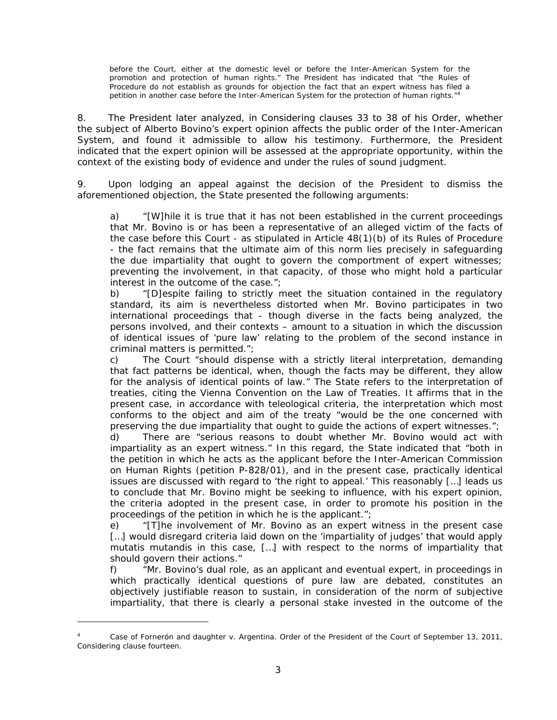before the Court, either at the domestic level or before the Inter-American System for the promotion and protection of human rights." The President has indicated that "the Rules of Procedure do not establish as grounds for objection the fact that an expert witness has filed a petition in another case before the Inter-American System for the protection of human rights."<sup>4</sup>

8. The President later analyzed, in Considering clauses 33 to 38 of his Order, whether the subject of Alberto Bovino's expert opinion affects the public order of the Inter-American System, and found it admissible to allow his testimony. Furthermore, the President indicated that the expert opinion will be assessed at the appropriate opportunity, within the context of the existing body of evidence and under the rules of sound judgment.

9. Upon lodging an appeal against the decision of the President to dismiss the aforementioned objection, the State presented the following arguments:

a) "[W]hile it is true that it has not been established in the current proceedings that Mr. Bovino is or has been a representative of an alleged victim of the facts of the case before this Court - as stipulated in Article 48(1)(b) of its Rules of Procedure - the fact remains that the ultimate aim of this norm lies precisely in safeguarding the due impartiality that ought to govern the comportment of expert witnesses; preventing the involvement, in that capacity, of those who might hold a particular interest in the outcome of the case.";

b) "[D]espite failing to strictly meet the situation contained in the regulatory standard, its aim is nevertheless distorted when Mr. Bovino participates in two international proceedings that - though diverse in the facts being analyzed, the persons involved, and their contexts – amount to a situation in which the discussion of identical issues of 'pure law' relating to the problem of the second instance in criminal matters is permitted.";

c) The Court "should dispense with a strictly literal interpretation, demanding that fact patterns be identical, when, though the facts may be different, they allow for the analysis of identical points of law." The State refers to the interpretation of treaties, citing the Vienna Convention on the Law of Treaties. It affirms that in the present case, in accordance with teleological criteria, the interpretation which most conforms to the object and aim of the treaty "would be the one concerned with preserving the due impartiality that ought to guide the actions of expert witnesses.";

d) There are "serious reasons to doubt whether Mr. Bovino would act with impartiality as an expert witness." In this regard, the State indicated that "both in the petition in which he acts as the applicant before the Inter-American Commission on Human Rights (petition P-828/01), and in the present case, practically identical issues are discussed with regard to 'the right to appeal.' This reasonably […] leads us to conclude that Mr. Bovino might be seeking to influence, with his expert opinion, the criteria adopted in the present case, in order to promote his position in the proceedings of the petition in which he is the applicant.";

e) "[T]he involvement of Mr. Bovino as an expert witness in the present case [...] would disregard criteria laid down on the 'impartiality of judges' that would apply *mutatis mutandis* in this case, […] with respect to the norms of impartiality that should govern their actions."

f) "Mr. Bovino's dual role, as an applicant and eventual expert, in proceedings in which practically identical questions of pure law are debated, constitutes an objectively justifiable reason to sustain, in consideration of the norm of subjective impartiality, that there is clearly a personal stake invested in the outcome of the

<u>.</u>

<sup>4</sup> *Case of Fornerón and daughter v. Argentina.* Order of the President of the Court of September 13, 2011, Considering clause fourteen.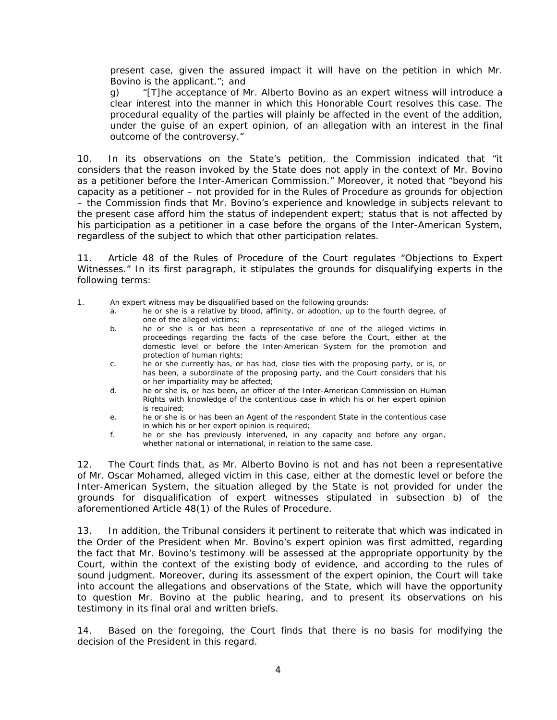present case, given the assured impact it will have on the petition in which Mr. Bovino is the applicant."; and

g) "[T]he acceptance of Mr. Alberto Bovino as an expert witness will introduce a clear interest into the manner in which this Honorable Court resolves this case. The procedural equality of the parties will plainly be affected in the event of the addition, under the guise of an expert opinion, of an allegation with an interest in the final outcome of the controversy."

10. In its observations on the State's petition, the Commission indicated that "it considers that the reason invoked by the State does not apply in the context of Mr. Bovino as a petitioner before the Inter-American Commission." Moreover, it noted that "beyond his capacity as a petitioner – not provided for in the Rules of Procedure as grounds for objection – the Commission finds that Mr. Bovino's experience and knowledge in subjects relevant to the present case afford him the status of independent expert; status that is not affected by his participation as a petitioner in a case before the organs of the Inter-American System, regardless of the subject to which that other participation relates.

11. Article 48 of the Rules of Procedure of the Court regulates "Objections to Expert Witnesses." In its first paragraph, it stipulates the grounds for disqualifying experts in the following terms:

1. An expert witness may be disqualified based on the following grounds:

- a. he or she is a relative by blood, affinity, or adoption, up to the fourth degree, of one of the alleged victims;
- b. he or she is or has been a representative of one of the alleged victims in proceedings regarding the facts of the case before the Court, either at the domestic level or before the Inter-American System for the promotion and protection of human rights;
- c. he or she currently has, or has had, close ties with the proposing party, or is, or has been, a subordinate of the proposing party, and the Court considers that his or her impartiality may be affected;
- d. he or she is, or has been, an officer of the Inter-American Commission on Human Rights with knowledge of the contentious case in which his or her expert opinion is required;
- e. he or she is or has been an Agent of the respondent State in the contentious case in which his or her expert opinion is required;
- f. he or she has previously intervened, in any capacity and before any organ, whether national or international, in relation to the same case.

12. The Court finds that, as Mr. Alberto Bovino is not and has not been a representative of Mr. Oscar Mohamed, alleged victim in this case, either at the domestic level or before the Inter-American System, the situation alleged by the State is not provided for under the grounds for disqualification of expert witnesses stipulated in subsection b) of the aforementioned Article 48(1) of the Rules of Procedure.

13. In addition, the Tribunal considers it pertinent to reiterate that which was indicated in the Order of the President when Mr. Bovino's expert opinion was first admitted, regarding the fact that Mr. Bovino's testimony will be assessed at the appropriate opportunity by the Court, within the context of the existing body of evidence, and according to the rules of sound judgment. Moreover, during its assessment of the expert opinion, the Court will take into account the allegations and observations of the State, which will have the opportunity to question Mr. Bovino at the public hearing, and to present its observations on his testimony in its final oral and written briefs.

14. Based on the foregoing, the Court finds that there is no basis for modifying the decision of the President in this regard.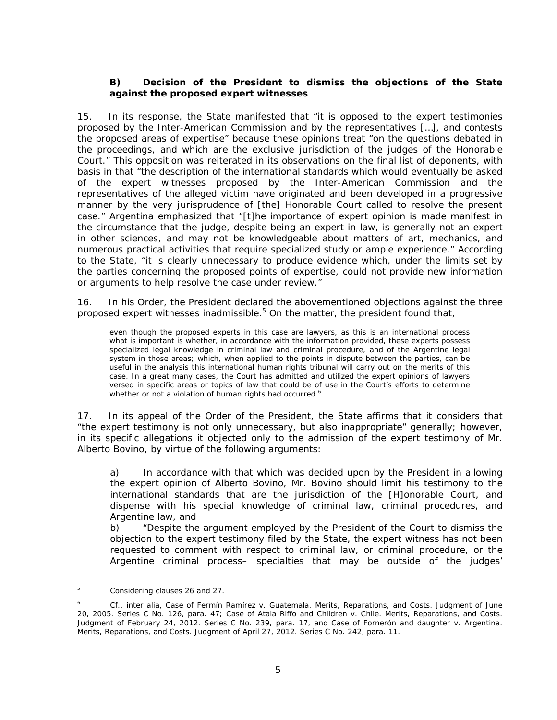## **B) Decision of the President to dismiss the objections of the State against the proposed expert witnesses**

15. In its response, the State manifested that "it is opposed to the expert testimonies proposed by the Inter-American Commission and by the representatives […], and contests the proposed areas of expertise" because these opinions treat "on the questions debated in the proceedings, and which are the exclusive jurisdiction of the judges of the Honorable Court." This opposition was reiterated in its observations on the final list of deponents, with basis in that "the description of the international standards which would eventually be asked of the expert witnesses proposed by the Inter-American Commission and the representatives of the alleged victim have originated and been developed in a progressive manner by the very jurisprudence of [the] Honorable Court called to resolve the present case." Argentina emphasized that "[t]he importance of expert opinion is made manifest in the circumstance that the judge, despite being an expert in law, is generally not an expert in other sciences, and may not be knowledgeable about matters of art, mechanics, and numerous practical activities that require specialized study or ample experience." According to the State, "it is clearly unnecessary to produce evidence which, under the limits set by the parties concerning the proposed points of expertise, could not provide new information or arguments to help resolve the case under review."

16. In his Order, the President declared the abovementioned objections against the three proposed expert witnesses inadmissible. $5$  On the matter, the president found that,

even though the proposed experts in this case are lawyers, as this is an international process what is important is whether, in accordance with the information provided, these experts possess specialized legal knowledge in criminal law and criminal procedure, and of the Argentine legal system in those areas; which, when applied to the points in dispute between the parties, can be useful in the analysis this international human rights tribunal will carry out on the merits of this case. In a great many cases, the Court has admitted and utilized the expert opinions of lawyers versed in specific areas or topics of law that could be of use in the Court's efforts to determine whether or not a violation of human rights had occurred.<sup>6</sup>

17. In its appeal of the Order of the President, the State affirms that it considers that "the expert testimony is not only unnecessary, but also inappropriate" generally; however, in its specific allegations it objected only to the admission of the expert testimony of Mr. Alberto Bovino, by virtue of the following arguments:

a) In accordance with that which was decided upon by the President in allowing the expert opinion of Alberto Bovino, Mr. Bovino should limit his testimony to the international standards that are the jurisdiction of the [H]onorable Court, and dispense with his special knowledge of criminal law, criminal procedures, and Argentine law, and

b) "Despite the argument employed by the President of the Court to dismiss the objection to the expert testimony filed by the State, the expert witness has not been requested to comment with respect to criminal law, or criminal procedure, or the Argentine criminal process– specialties that may be outside of the judges'

<sup>-&</sup>lt;br>5 Considering clauses 26 and 27.

<sup>6</sup> *Cf.*, *inter alia*, *Case of Fermín Ramírez v. Guatemala. Merits, Reparations, and Costs*. Judgment of June 20, 2005. Series C No. 126, para. 47; *Case of Atala Riffo and Children v. Chile. Merits, Reparations, and Costs.*  Judgment of February 24, 2012. Series C No. 239, para. 17, and *Case of Fornerón and daughter v. Argentina. Merits, Reparations, and Costs.* Judgment of April 27, 2012. Series C No. 242, para. 11.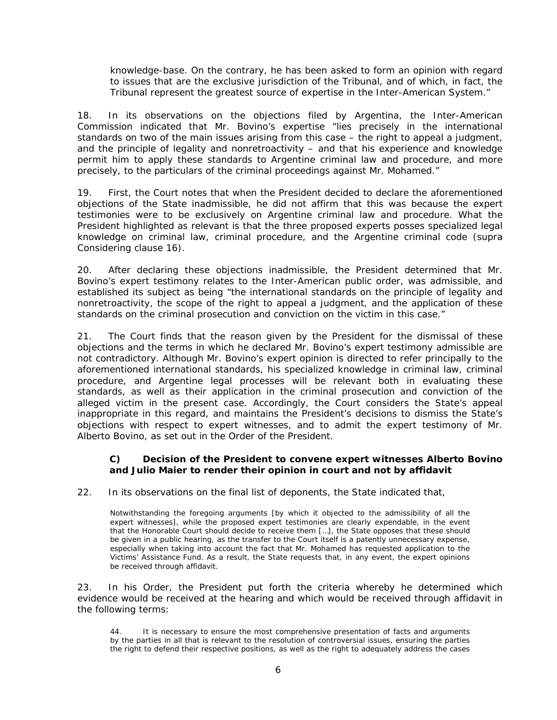knowledge-base. On the contrary, he has been asked to form an opinion with regard to issues that are the exclusive jurisdiction of the Tribunal, and of which, in fact, the Tribunal represent the greatest source of expertise in the Inter-American System."

18. In its observations on the objections filed by Argentina, the Inter-American Commission indicated that Mr. Bovino's expertise "lies precisely in the international standards on two of the main issues arising from this case – the right to appeal a judgment, and the principle of legality and nonretroactivity – and that his experience and knowledge permit him to apply these standards to Argentine criminal law and procedure, and more precisely, to the particulars of the criminal proceedings against Mr. Mohamed."

19. First, the Court notes that when the President decided to declare the aforementioned objections of the State inadmissible, he did not affirm that this was because the expert testimonies were to be exclusively on Argentine criminal law and procedure. What the President highlighted as relevant is that the three proposed experts posses specialized legal knowledge on criminal law, criminal procedure, and the Argentine criminal code (*supra* Considering clause 16).

20. After declaring these objections inadmissible, the President determined that Mr. Bovino's expert testimony relates to the Inter-American public order, was admissible, and established its subject as being "the international standards on the principle of legality and nonretroactivity, the scope of the right to appeal a judgment, and the application of these standards on the criminal prosecution and conviction on the victim in this case."

21. The Court finds that the reason given by the President for the dismissal of these objections and the terms in which he declared Mr. Bovino's expert testimony admissible are not contradictory. Although Mr. Bovino's expert opinion is directed to refer principally to the aforementioned international standards, his specialized knowledge in criminal law, criminal procedure, and Argentine legal processes will be relevant both in evaluating these standards, as well as their application in the criminal prosecution and conviction of the alleged victim in the present case. Accordingly, the Court considers the State's appeal inappropriate in this regard, and maintains the President's decisions to dismiss the State's objections with respect to expert witnesses, and to admit the expert testimony of Mr. Alberto Bovino, as set out in the Order of the President.

## **C) Decision of the President to convene expert witnesses Alberto Bovino and Julio Maier to render their opinion in court and not by affidavit**

22. In its observations on the final list of deponents, the State indicated that,

Notwithstanding the foregoing arguments [by which it objected to the admissibility of all the expert witnesses], while the proposed expert testimonies are clearly expendable, in the event that the Honorable Court should decide to receive them […], the State opposes that these should be given in a public hearing, as the transfer to the Court itself is a patently unnecessary expense, especially when taking into account the fact that Mr. Mohamed has requested application to the Victims' Assistance Fund. As a result, the State requests that, in any event, the expert opinions be received through affidavit.

23. In his Order, the President put forth the criteria whereby he determined which evidence would be received at the hearing and which would be received through affidavit in the following terms:

It is necessary to ensure the most comprehensive presentation of facts and arguments by the parties in all that is relevant to the resolution of controversial issues, ensuring the parties the right to defend their respective positions, as well as the right to adequately address the cases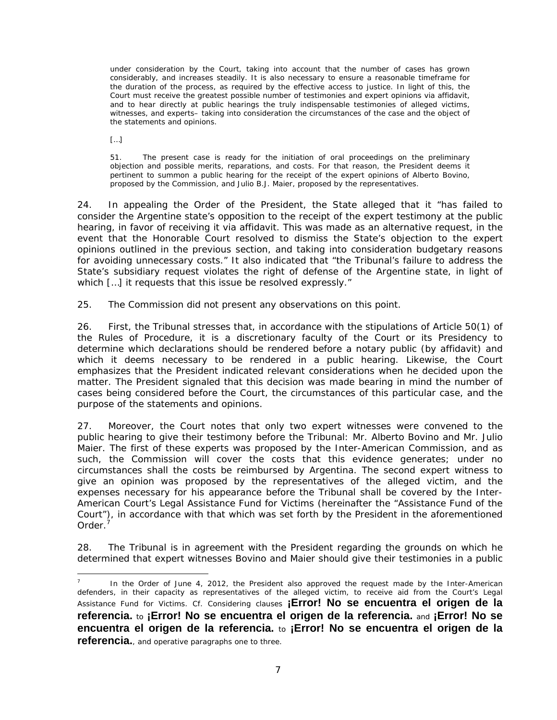under consideration by the Court, taking into account that the number of cases has grown considerably, and increases steadily. It is also necessary to ensure a reasonable timeframe for the duration of the process, as required by the effective access to justice. In light of this, the Court must receive the greatest possible number of testimonies and expert opinions via affidavit, and to hear directly at public hearings the truly indispensable testimonies of alleged victims, witnesses, and experts– taking into consideration the circumstances of the case and the object of the statements and opinions.

[…]

1

51. The present case is ready for the initiation of oral proceedings on the preliminary objection and possible merits, reparations, and costs. For that reason, the President deems it pertinent to summon a public hearing for the receipt of the expert opinions of Alberto Bovino, proposed by the Commission, and Julio B.J. Maier, proposed by the representatives.

24. In appealing the Order of the President, the State alleged that it "has failed to consider the Argentine state's opposition to the receipt of the expert testimony at the public hearing, in favor of receiving it via affidavit. This was made as an alternative request, in the event that the Honorable Court resolved to dismiss the State's objection to the expert opinions outlined in the previous section, and taking into consideration budgetary reasons for avoiding unnecessary costs." It also indicated that "the Tribunal's failure to address the State's subsidiary request violates the right of defense of the Argentine state, in light of which [...] it requests that this issue be resolved expressly."

25. The Commission did not present any observations on this point.

26. First, the Tribunal stresses that, in accordance with the stipulations of Article 50(1) of the Rules of Procedure, it is a discretionary faculty of the Court or its Presidency to determine which declarations should be rendered before a notary public (by affidavit) and which it deems necessary to be rendered in a public hearing. Likewise, the Court emphasizes that the President indicated relevant considerations when he decided upon the matter. The President signaled that this decision was made bearing in mind the number of cases being considered before the Court, the circumstances of this particular case, and the purpose of the statements and opinions.

27. Moreover, the Court notes that only two expert witnesses were convened to the public hearing to give their testimony before the Tribunal: Mr. Alberto Bovino and Mr. Julio Maier. The first of these experts was proposed by the Inter-American Commission, and as such, the Commission will cover the costs that this evidence generates; under no circumstances shall the costs be reimbursed by Argentina. The second expert witness to give an opinion was proposed by the representatives of the alleged victim, and the expenses necessary for his appearance before the Tribunal shall be covered by the Inter-American Court's Legal Assistance Fund for Victims (hereinafter the "Assistance Fund of the Court"), in accordance with that which was set forth by the President in the aforementioned Order.<sup>7</sup>

28. The Tribunal is in agreement with the President regarding the grounds on which he determined that expert witnesses Bovino and Maier should give their testimonies in a public

<sup>7</sup> In the Order of June 4, 2012, the President also approved the request made by the Inter-American defenders, in their capacity as representatives of the alleged victim, to receive aid from the Court's Legal Assistance Fund for Victims. *Cf.* Considering clauses **¡Error! No se encuentra el origen de la referencia.** to **¡Error! No se encuentra el origen de la referencia.** and **¡Error! No se encuentra el origen de la referencia.** to **¡Error! No se encuentra el origen de la referencia.**, and operative paragraphs one to three.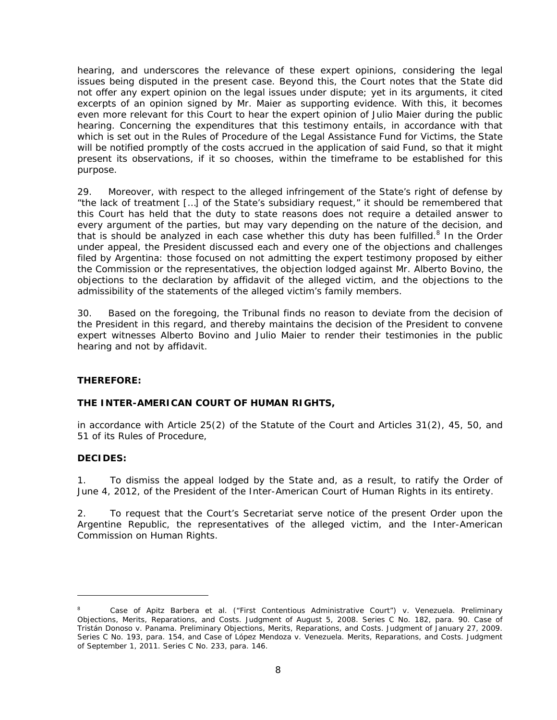hearing, and underscores the relevance of these expert opinions, considering the legal issues being disputed in the present case. Beyond this, the Court notes that the State did not offer any expert opinion on the legal issues under dispute; yet in its arguments, it cited excerpts of an opinion signed by Mr. Maier as supporting evidence. With this, it becomes even more relevant for this Court to hear the expert opinion of Julio Maier during the public hearing. Concerning the expenditures that this testimony entails, in accordance with that which is set out in the Rules of Procedure of the Legal Assistance Fund for Victims, the State will be notified promptly of the costs accrued in the application of said Fund, so that it might present its observations, if it so chooses, within the timeframe to be established for this purpose.

29. Moreover, with respect to the alleged infringement of the State's right of defense by "the lack of treatment […] of the State's subsidiary request," it should be remembered that this Court has held that the duty to state reasons does not require a detailed answer to every argument of the parties, but may vary depending on the nature of the decision, and that is should be analyzed in each case whether this duty has been fulfilled. $8$  In the Order under appeal, the President discussed each and every one of the objections and challenges filed by Argentina: those focused on not admitting the expert testimony proposed by either the Commission or the representatives, the objection lodged against Mr. Alberto Bovino, the objections to the declaration by affidavit of the alleged victim, and the objections to the admissibility of the statements of the alleged victim's family members.

30. Based on the foregoing, the Tribunal finds no reason to deviate from the decision of the President in this regard, and thereby maintains the decision of the President to convene expert witnesses Alberto Bovino and Julio Maier to render their testimonies in the public hearing and not by affidavit.

## **THEREFORE:**

## **THE INTER-AMERICAN COURT OF HUMAN RIGHTS,**

in accordance with Article 25(2) of the Statute of the Court and Articles 31(2), 45, 50, and 51 of its Rules of Procedure,

## **DECIDES:**

1

1. To dismiss the appeal lodged by the State and, as a result, to ratify the Order of June 4, 2012, of the President of the Inter-American Court of Human Rights in its entirety.

2. To request that the Court's Secretariat serve notice of the present Order upon the Argentine Republic, the representatives of the alleged victim, and the Inter-American Commission on Human Rights.

<sup>8</sup> *Case of Apitz Barbera et al. ("First Contentious Administrative Court") v. Venezuela. Preliminary Objections, Merits, Reparations, and Costs.* Judgment of August 5, 2008. Series C No. 182, para. 90. *Case of Tristán Donoso v. Panama*. *Preliminary Objections, Merits, Reparations, and Costs.* Judgment of January 27, 2009. Series C No. 193, para. 154, and *Case of López Mendoza v. Venezuela*. *Merits*, *Reparations, and Costs.* Judgment of September 1, 2011. Series C No. 233, para. 146.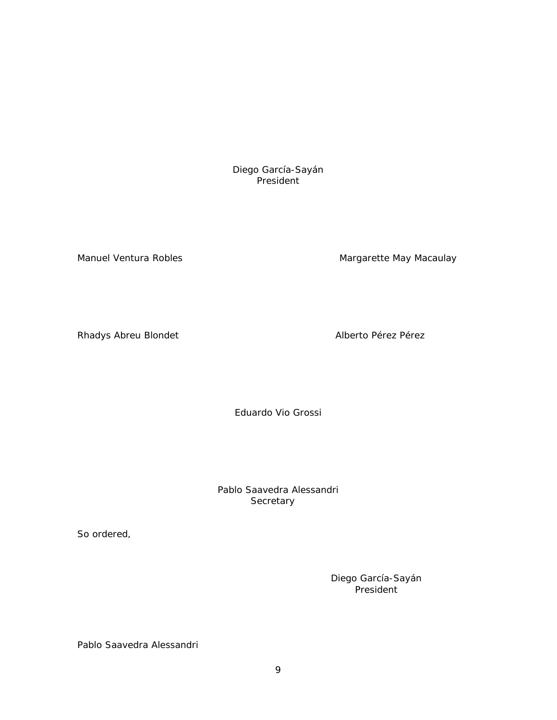Diego García-Sayán President

Manuel Ventura Robles Manuel Ventura Robles Manuel Ventura Robles

Rhadys Abreu Blondet **Alberto Pérez Pérez** Alberto Pérez Pérez

Eduardo Vio Grossi

Pablo Saavedra Alessandri Secretary

So ordered,

Diego García-Sayán President

Pablo Saavedra Alessandri